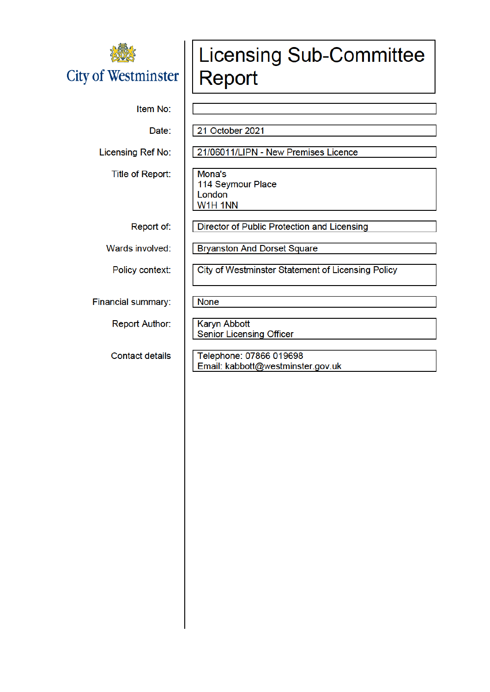

#### Item No:

Date:

Licensing Ref No:

Title of Report:

Report of:

Wards involved:

Policy context:

Financial summary:

**Report Author:** 

**Contact details** 

# **Licensing Sub-Committee** Report

21 October 2021

21/06011/LIPN - New Premises Licence

Mona's 114 Seymour Place London W1H 1NN

**Director of Public Protection and Licensing** 

**Bryanston And Dorset Square** 

**City of Westminster Statement of Licensing Policy** 

**None** 

Karyn Abbott **Senior Licensing Officer** 

Telephone: 07866 019698 Email: kabbott@westminster.gov.uk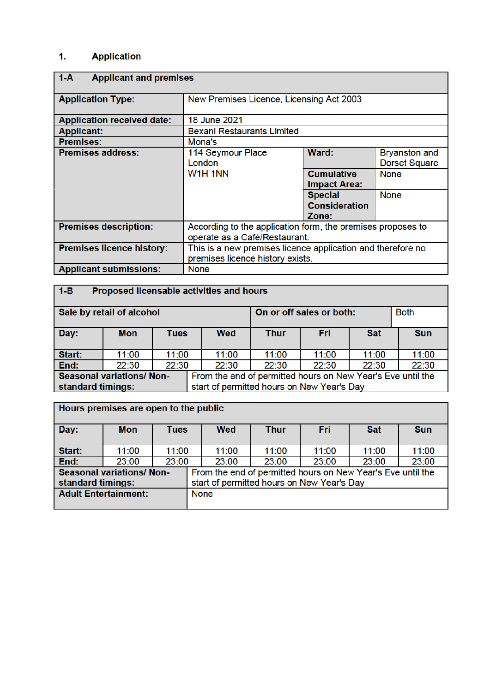#### $\ddot{\mathbf{1}}$ . **Application**

| $1-A$                             | <b>Applicant and premises</b>                               |                                          |                                              |  |  |
|-----------------------------------|-------------------------------------------------------------|------------------------------------------|----------------------------------------------|--|--|
| <b>Application Type:</b>          | New Premises Licence, Licensing Act 2003                    |                                          |                                              |  |  |
| <b>Application received date:</b> | 18 June 2021                                                |                                          |                                              |  |  |
| <b>Applicant:</b>                 | <b>Bexani Restaurants Limited</b>                           |                                          |                                              |  |  |
| <b>Premises:</b>                  | Mona's                                                      |                                          |                                              |  |  |
| <b>Premises address:</b>          | 114 Seymour Place<br>London                                 | Ward:                                    | <b>Bryanston and</b><br><b>Dorset Square</b> |  |  |
|                                   | W1H 1NN                                                     | <b>Cumulative</b><br><b>Impact Area:</b> | <b>None</b>                                  |  |  |
|                                   |                                                             | <b>Special</b>                           | <b>None</b>                                  |  |  |
|                                   |                                                             | <b>Consideration</b>                     |                                              |  |  |
|                                   |                                                             | Zone:                                    |                                              |  |  |
| <b>Premises description:</b>      | According to the application form, the premises proposes to |                                          |                                              |  |  |
|                                   | operate as a Café/Restaurant.                               |                                          |                                              |  |  |
| <b>Premises licence history:</b>  | This is a new premises licence application and therefore no |                                          |                                              |  |  |
|                                   | premises licence history exists.                            |                                          |                                              |  |  |
| <b>Applicant submissions:</b>     | <b>None</b>                                                 |                                          |                                              |  |  |

| -1-B | Proposed licensable activities and hours |  |
|------|------------------------------------------|--|
|      |                                          |  |

 $\sim$ 

| Sale by retail of alcohol       |                                                                 |       | On or off sales or both:                                    |       |       | <b>Both</b> |            |
|---------------------------------|-----------------------------------------------------------------|-------|-------------------------------------------------------------|-------|-------|-------------|------------|
| Day:                            | <b>Mon</b>                                                      | Tues  | <b>Wed</b>                                                  | Thur  | Fri   | <b>Sat</b>  | <b>Sun</b> |
|                                 |                                                                 |       |                                                             |       |       |             |            |
|                                 |                                                                 |       |                                                             |       |       |             |            |
| Start:                          | 11:00                                                           | 11:00 | 11:00                                                       | 11:00 | 11:00 | 11:00       | 11:00      |
| End:                            | 22:30                                                           | 22:30 | 22:30                                                       | 22:30 | 22:30 | 22:30       | 22:30      |
| <b>Seasonal variations/Non-</b> |                                                                 |       | From the end of permitted hours on New Year's Eve until the |       |       |             |            |
|                                 | start of permitted hours on New Year's Day<br>standard timings: |       |                                                             |       |       |             |            |

|                             | Hours premises are open to the public |             |  |                                                                                                           |             |       |            |            |
|-----------------------------|---------------------------------------|-------------|--|-----------------------------------------------------------------------------------------------------------|-------------|-------|------------|------------|
| Day:                        | <b>Mon</b>                            | <b>Tues</b> |  | <b>Wed</b>                                                                                                | <b>Thur</b> | Fri   | <b>Sat</b> | <b>Sun</b> |
| Start:                      | 11:00                                 | 11:00       |  | 11:00                                                                                                     | 11:00       | 11:00 | 11:00      | 11:00      |
| End:                        | 23:00                                 | 23:00       |  | 23:00                                                                                                     | 23:00       | 23:00 | 23:00      | 23:00      |
| standard timings:           | <b>Seasonal variations/ Non-</b>      |             |  | From the end of permitted hours on New Year's Eve until the<br>start of permitted hours on New Year's Day |             |       |            |            |
| <b>Adult Entertainment:</b> |                                       |             |  | <b>None</b>                                                                                               |             |       |            |            |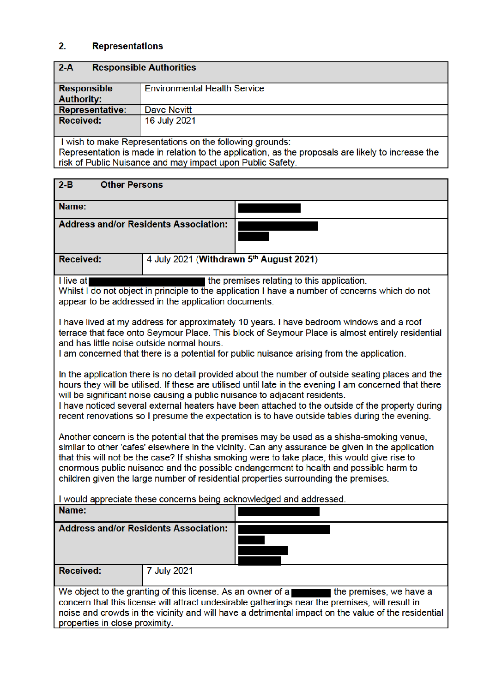#### $2.$ **Representations**

| $2-A$<br><b>Responsible Authorities</b>                                                            |                                                            |  |  |  |
|----------------------------------------------------------------------------------------------------|------------------------------------------------------------|--|--|--|
| <b>Responsible</b>                                                                                 | <b>Environmental Health Service</b>                        |  |  |  |
| <b>Authority:</b>                                                                                  |                                                            |  |  |  |
| <b>Representative:</b>                                                                             | Dave Nevitt                                                |  |  |  |
| <b>Received:</b>                                                                                   | 16 July 2021                                               |  |  |  |
|                                                                                                    |                                                            |  |  |  |
|                                                                                                    | I wish to make Representations on the following grounds:   |  |  |  |
| Representation is made in relation to the application, as the proposals are likely to increase the |                                                            |  |  |  |
|                                                                                                    | risk of Public Nuisance and may impact upon Public Safety. |  |  |  |
|                                                                                                    |                                                            |  |  |  |

| $2 - B$<br><b>Other Persons</b>                                                                                                                                                                                                                                                                                                                                                                                                                                                                |  |  |  |
|------------------------------------------------------------------------------------------------------------------------------------------------------------------------------------------------------------------------------------------------------------------------------------------------------------------------------------------------------------------------------------------------------------------------------------------------------------------------------------------------|--|--|--|
| Name:                                                                                                                                                                                                                                                                                                                                                                                                                                                                                          |  |  |  |
| <b>Address and/or Residents Association:</b>                                                                                                                                                                                                                                                                                                                                                                                                                                                   |  |  |  |
| 4 July 2021 (Withdrawn 5th August 2021)<br><b>Received:</b>                                                                                                                                                                                                                                                                                                                                                                                                                                    |  |  |  |
| I live at<br>the premises relating to this application.<br>Whilst I do not object in principle to the application I have a number of concerns which do not<br>appear to be addressed in the application documents.                                                                                                                                                                                                                                                                             |  |  |  |
| I have lived at my address for approximately 10 years. I have bedroom windows and a roof<br>terrace that face onto Seymour Place. This block of Seymour Place is almost entirely residential<br>and has little noise outside normal hours.<br>I am concerned that there is a potential for public nuisance arising from the application.                                                                                                                                                       |  |  |  |
| In the application there is no detail provided about the number of outside seating places and the<br>hours they will be utilised. If these are utilised until late in the evening I am concerned that there<br>will be significant noise causing a public nuisance to adjacent residents.<br>I have noticed several external heaters have been attached to the outside of the property during<br>recent renovations so I presume the expectation is to have outside tables during the evening. |  |  |  |
| Another concern is the potential that the premises may be used as a shisha-smoking venue,<br>similar to other 'cafes' elsewhere in the vicinity. Can any assurance be given in the application<br>that this will not be the case? If shisha smoking were to take place, this would give rise to<br>enormous public nuisance and the possible endangerment to health and possible harm to<br>children given the large number of residential properties surrounding the premises.                |  |  |  |
| I would appreciate these concerns being acknowledged and addressed.<br>Name:                                                                                                                                                                                                                                                                                                                                                                                                                   |  |  |  |
| <b>Address and/or Residents Association:</b>                                                                                                                                                                                                                                                                                                                                                                                                                                                   |  |  |  |
| <b>Received:</b><br>7 July 2021                                                                                                                                                                                                                                                                                                                                                                                                                                                                |  |  |  |
| We object to the granting of this license. As an owner of a<br>the premises, we have a<br>concern that this license will attract undesirable gatherings near the premises, will result in<br>noise and crowds in the vicinity and will have a detrimental impact on the value of the residential<br>properties in close proximity.                                                                                                                                                             |  |  |  |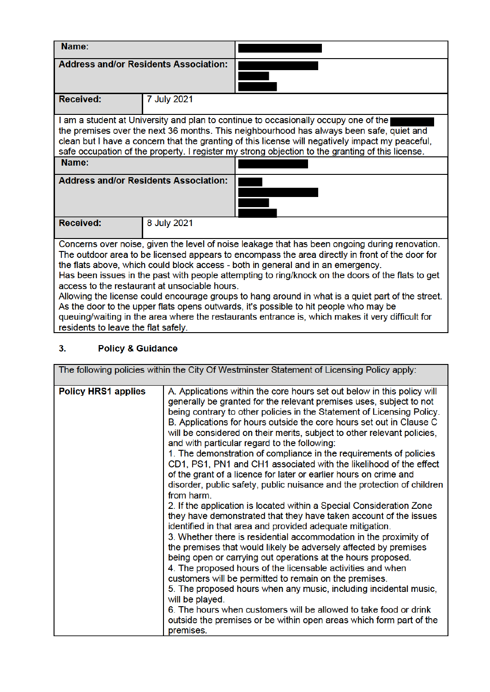| Name:                               |                                               |                                                                                                                                                                                                                                                                                                                                                                                                                                                                                                                                                                                                                                                                                              |  |  |  |
|-------------------------------------|-----------------------------------------------|----------------------------------------------------------------------------------------------------------------------------------------------------------------------------------------------------------------------------------------------------------------------------------------------------------------------------------------------------------------------------------------------------------------------------------------------------------------------------------------------------------------------------------------------------------------------------------------------------------------------------------------------------------------------------------------------|--|--|--|
|                                     | <b>Address and/or Residents Association:</b>  |                                                                                                                                                                                                                                                                                                                                                                                                                                                                                                                                                                                                                                                                                              |  |  |  |
| <b>Received:</b>                    | 7 July 2021                                   |                                                                                                                                                                                                                                                                                                                                                                                                                                                                                                                                                                                                                                                                                              |  |  |  |
|                                     |                                               | I am a student at University and plan to continue to occasionally occupy one of the<br>the premises over the next 36 months. This neighbourhood has always been safe, quiet and<br>clean but I have a concern that the granting of this license will negatively impact my peaceful,<br>safe occupation of the property. I register my strong objection to the granting of this license.                                                                                                                                                                                                                                                                                                      |  |  |  |
| Name:                               |                                               |                                                                                                                                                                                                                                                                                                                                                                                                                                                                                                                                                                                                                                                                                              |  |  |  |
|                                     | <b>Address and/or Residents Association:</b>  |                                                                                                                                                                                                                                                                                                                                                                                                                                                                                                                                                                                                                                                                                              |  |  |  |
| <b>Received:</b>                    | 8 July 2021                                   |                                                                                                                                                                                                                                                                                                                                                                                                                                                                                                                                                                                                                                                                                              |  |  |  |
| residents to leave the flat safely. | access to the restaurant at unsociable hours. | Concerns over noise, given the level of noise leakage that has been ongoing during renovation.<br>The outdoor area to be licensed appears to encompass the area directly in front of the door for<br>the flats above, which could block access - both in general and in an emergency.<br>Has been issues in the past with people attempting to ring/knock on the doors of the flats to get<br>Allowing the license could encourage groups to hang around in what is a quiet part of the street.<br>As the door to the upper flats opens outwards, it's possible to hit people who may be<br>queuing/waiting in the area where the restaurants entrance is, which makes it very difficult for |  |  |  |

#### **Policy & Guidance**  $3<sub>1</sub>$

|                            | The following policies within the City Of Westminster Statement of Licensing Policy apply:                                                                                                                                                                                                                                                                                                                                                                                                                                                                                                                                                                                                                                                                                                                                                                                                                                                                                                                                                                                                                                                                                                                                                                                                                                                                                                                                                                                                                                         |
|----------------------------|------------------------------------------------------------------------------------------------------------------------------------------------------------------------------------------------------------------------------------------------------------------------------------------------------------------------------------------------------------------------------------------------------------------------------------------------------------------------------------------------------------------------------------------------------------------------------------------------------------------------------------------------------------------------------------------------------------------------------------------------------------------------------------------------------------------------------------------------------------------------------------------------------------------------------------------------------------------------------------------------------------------------------------------------------------------------------------------------------------------------------------------------------------------------------------------------------------------------------------------------------------------------------------------------------------------------------------------------------------------------------------------------------------------------------------------------------------------------------------------------------------------------------------|
| <b>Policy HRS1 applies</b> | A. Applications within the core hours set out below in this policy will<br>generally be granted for the relevant premises uses, subject to not<br>being contrary to other policies in the Statement of Licensing Policy.<br>B. Applications for hours outside the core hours set out in Clause C<br>will be considered on their merits, subject to other relevant policies,<br>and with particular regard to the following:<br>1. The demonstration of compliance in the requirements of policies<br>CD1, PS1, PN1 and CH1 associated with the likelihood of the effect<br>of the grant of a licence for later or earlier hours on crime and<br>disorder, public safety, public nuisance and the protection of children<br>from harm.<br>2. If the application is located within a Special Consideration Zone<br>they have demonstrated that they have taken account of the issues<br>identified in that area and provided adequate mitigation.<br>3. Whether there is residential accommodation in the proximity of<br>the premises that would likely be adversely affected by premises<br>being open or carrying out operations at the hours proposed.<br>4. The proposed hours of the licensable activities and when<br>customers will be permitted to remain on the premises.<br>5. The proposed hours when any music, including incidental music,<br>will be played.<br>6. The hours when customers will be allowed to take food or drink<br>outside the premises or be within open areas which form part of the<br>premises. |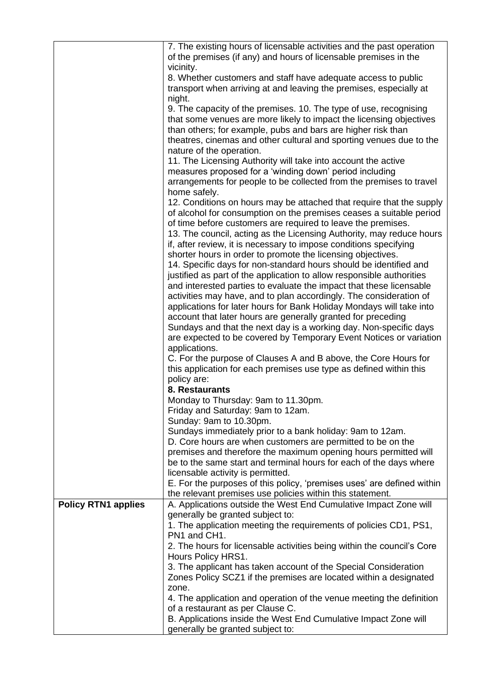|                            | 7. The existing hours of licensable activities and the past operation<br>of the premises (if any) and hours of licensable premises in the<br>vicinity. |
|----------------------------|--------------------------------------------------------------------------------------------------------------------------------------------------------|
|                            | 8. Whether customers and staff have adequate access to public                                                                                          |
|                            | transport when arriving at and leaving the premises, especially at                                                                                     |
|                            |                                                                                                                                                        |
|                            | night.                                                                                                                                                 |
|                            | 9. The capacity of the premises. 10. The type of use, recognising                                                                                      |
|                            | that some venues are more likely to impact the licensing objectives                                                                                    |
|                            | than others; for example, pubs and bars are higher risk than                                                                                           |
|                            | theatres, cinemas and other cultural and sporting venues due to the                                                                                    |
|                            | nature of the operation.                                                                                                                               |
|                            | 11. The Licensing Authority will take into account the active                                                                                          |
|                            | measures proposed for a 'winding down' period including                                                                                                |
|                            | arrangements for people to be collected from the premises to travel                                                                                    |
|                            | home safely.                                                                                                                                           |
|                            | 12. Conditions on hours may be attached that require that the supply                                                                                   |
|                            | of alcohol for consumption on the premises ceases a suitable period                                                                                    |
|                            | of time before customers are required to leave the premises.                                                                                           |
|                            |                                                                                                                                                        |
|                            | 13. The council, acting as the Licensing Authority, may reduce hours                                                                                   |
|                            | if, after review, it is necessary to impose conditions specifying                                                                                      |
|                            | shorter hours in order to promote the licensing objectives.                                                                                            |
|                            | 14. Specific days for non-standard hours should be identified and                                                                                      |
|                            | justified as part of the application to allow responsible authorities                                                                                  |
|                            | and interested parties to evaluate the impact that these licensable                                                                                    |
|                            | activities may have, and to plan accordingly. The consideration of                                                                                     |
|                            | applications for later hours for Bank Holiday Mondays will take into                                                                                   |
|                            | account that later hours are generally granted for preceding                                                                                           |
|                            | Sundays and that the next day is a working day. Non-specific days                                                                                      |
|                            | are expected to be covered by Temporary Event Notices or variation                                                                                     |
|                            | applications.                                                                                                                                          |
|                            | C. For the purpose of Clauses A and B above, the Core Hours for                                                                                        |
|                            | this application for each premises use type as defined within this                                                                                     |
|                            |                                                                                                                                                        |
|                            | policy are:                                                                                                                                            |
|                            | 8. Restaurants                                                                                                                                         |
|                            | Monday to Thursday: 9am to 11.30pm.                                                                                                                    |
|                            | Friday and Saturday: 9am to 12am.                                                                                                                      |
|                            | Sunday: 9am to 10.30pm.                                                                                                                                |
|                            | Sundays immediately prior to a bank holiday: 9am to 12am.                                                                                              |
|                            | D. Core hours are when customers are permitted to be on the                                                                                            |
|                            | premises and therefore the maximum opening hours permitted will                                                                                        |
|                            | be to the same start and terminal hours for each of the days where                                                                                     |
|                            | licensable activity is permitted.                                                                                                                      |
|                            | E. For the purposes of this policy, 'premises uses' are defined within                                                                                 |
|                            | the relevant premises use policies within this statement.                                                                                              |
| <b>Policy RTN1 applies</b> | A. Applications outside the West End Cumulative Impact Zone will                                                                                       |
|                            | generally be granted subject to:                                                                                                                       |
|                            | 1. The application meeting the requirements of policies CD1, PS1,                                                                                      |
|                            | PN1 and CH1.                                                                                                                                           |
|                            | 2. The hours for licensable activities being within the council's Core                                                                                 |
|                            | Hours Policy HRS1.                                                                                                                                     |
|                            | 3. The applicant has taken account of the Special Consideration                                                                                        |
|                            |                                                                                                                                                        |
|                            | Zones Policy SCZ1 if the premises are located within a designated                                                                                      |
|                            | zone.                                                                                                                                                  |
|                            | 4. The application and operation of the venue meeting the definition                                                                                   |
|                            | of a restaurant as per Clause C.                                                                                                                       |
|                            | B. Applications inside the West End Cumulative Impact Zone will                                                                                        |
|                            | generally be granted subject to:                                                                                                                       |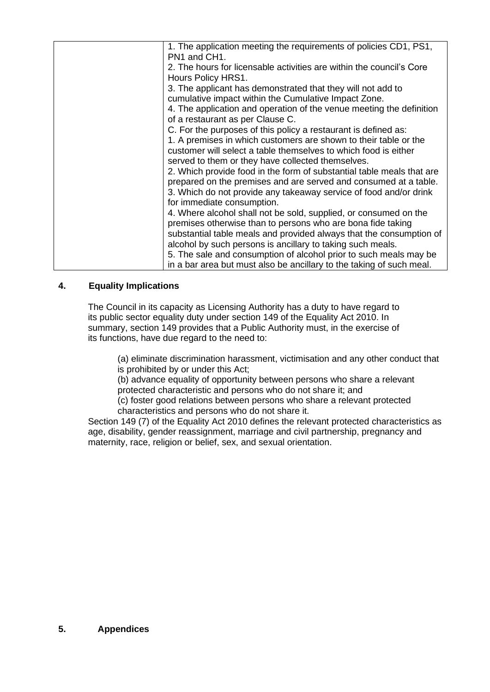| 1. The application meeting the requirements of policies CD1, PS1,<br>PN1 and CH1.<br>2. The hours for licensable activities are within the council's Core<br>Hours Policy HRS1.<br>3. The applicant has demonstrated that they will not add to<br>cumulative impact within the Cumulative Impact Zone.<br>4. The application and operation of the venue meeting the definition<br>of a restaurant as per Clause C.<br>C. For the purposes of this policy a restaurant is defined as:<br>1. A premises in which customers are shown to their table or the<br>customer will select a table themselves to which food is either<br>served to them or they have collected themselves.<br>2. Which provide food in the form of substantial table meals that are<br>prepared on the premises and are served and consumed at a table.<br>3. Which do not provide any takeaway service of food and/or drink<br>for immediate consumption.<br>4. Where alcohol shall not be sold, supplied, or consumed on the<br>premises otherwise than to persons who are bona fide taking<br>substantial table meals and provided always that the consumption of<br>alcohol by such persons is ancillary to taking such meals.<br>5. The sale and consumption of alcohol prior to such meals may be<br>in a bar area but must also be ancillary to the taking of such meal. |  |
|-------------------------------------------------------------------------------------------------------------------------------------------------------------------------------------------------------------------------------------------------------------------------------------------------------------------------------------------------------------------------------------------------------------------------------------------------------------------------------------------------------------------------------------------------------------------------------------------------------------------------------------------------------------------------------------------------------------------------------------------------------------------------------------------------------------------------------------------------------------------------------------------------------------------------------------------------------------------------------------------------------------------------------------------------------------------------------------------------------------------------------------------------------------------------------------------------------------------------------------------------------------------------------------------------------------------------------------------------------|--|
|                                                                                                                                                                                                                                                                                                                                                                                                                                                                                                                                                                                                                                                                                                                                                                                                                                                                                                                                                                                                                                                                                                                                                                                                                                                                                                                                                       |  |
|                                                                                                                                                                                                                                                                                                                                                                                                                                                                                                                                                                                                                                                                                                                                                                                                                                                                                                                                                                                                                                                                                                                                                                                                                                                                                                                                                       |  |
|                                                                                                                                                                                                                                                                                                                                                                                                                                                                                                                                                                                                                                                                                                                                                                                                                                                                                                                                                                                                                                                                                                                                                                                                                                                                                                                                                       |  |
|                                                                                                                                                                                                                                                                                                                                                                                                                                                                                                                                                                                                                                                                                                                                                                                                                                                                                                                                                                                                                                                                                                                                                                                                                                                                                                                                                       |  |
|                                                                                                                                                                                                                                                                                                                                                                                                                                                                                                                                                                                                                                                                                                                                                                                                                                                                                                                                                                                                                                                                                                                                                                                                                                                                                                                                                       |  |
|                                                                                                                                                                                                                                                                                                                                                                                                                                                                                                                                                                                                                                                                                                                                                                                                                                                                                                                                                                                                                                                                                                                                                                                                                                                                                                                                                       |  |
|                                                                                                                                                                                                                                                                                                                                                                                                                                                                                                                                                                                                                                                                                                                                                                                                                                                                                                                                                                                                                                                                                                                                                                                                                                                                                                                                                       |  |
|                                                                                                                                                                                                                                                                                                                                                                                                                                                                                                                                                                                                                                                                                                                                                                                                                                                                                                                                                                                                                                                                                                                                                                                                                                                                                                                                                       |  |
|                                                                                                                                                                                                                                                                                                                                                                                                                                                                                                                                                                                                                                                                                                                                                                                                                                                                                                                                                                                                                                                                                                                                                                                                                                                                                                                                                       |  |
|                                                                                                                                                                                                                                                                                                                                                                                                                                                                                                                                                                                                                                                                                                                                                                                                                                                                                                                                                                                                                                                                                                                                                                                                                                                                                                                                                       |  |
|                                                                                                                                                                                                                                                                                                                                                                                                                                                                                                                                                                                                                                                                                                                                                                                                                                                                                                                                                                                                                                                                                                                                                                                                                                                                                                                                                       |  |
|                                                                                                                                                                                                                                                                                                                                                                                                                                                                                                                                                                                                                                                                                                                                                                                                                                                                                                                                                                                                                                                                                                                                                                                                                                                                                                                                                       |  |
|                                                                                                                                                                                                                                                                                                                                                                                                                                                                                                                                                                                                                                                                                                                                                                                                                                                                                                                                                                                                                                                                                                                                                                                                                                                                                                                                                       |  |
|                                                                                                                                                                                                                                                                                                                                                                                                                                                                                                                                                                                                                                                                                                                                                                                                                                                                                                                                                                                                                                                                                                                                                                                                                                                                                                                                                       |  |
|                                                                                                                                                                                                                                                                                                                                                                                                                                                                                                                                                                                                                                                                                                                                                                                                                                                                                                                                                                                                                                                                                                                                                                                                                                                                                                                                                       |  |
|                                                                                                                                                                                                                                                                                                                                                                                                                                                                                                                                                                                                                                                                                                                                                                                                                                                                                                                                                                                                                                                                                                                                                                                                                                                                                                                                                       |  |
|                                                                                                                                                                                                                                                                                                                                                                                                                                                                                                                                                                                                                                                                                                                                                                                                                                                                                                                                                                                                                                                                                                                                                                                                                                                                                                                                                       |  |
|                                                                                                                                                                                                                                                                                                                                                                                                                                                                                                                                                                                                                                                                                                                                                                                                                                                                                                                                                                                                                                                                                                                                                                                                                                                                                                                                                       |  |

### **4. Equality Implications**

The Council in its capacity as Licensing Authority has a duty to have regard to its public sector equality duty under section 149 of the Equality Act 2010. In summary, section 149 provides that a Public Authority must, in the exercise of its functions, have due regard to the need to:

(a) eliminate discrimination harassment, victimisation and any other conduct that is prohibited by or under this Act;

(b) advance equality of opportunity between persons who share a relevant protected characteristic and persons who do not share it; and

(c) foster good relations between persons who share a relevant protected characteristics and persons who do not share it.

Section 149 (7) of the Equality Act 2010 defines the relevant protected characteristics as age, disability, gender reassignment, marriage and civil partnership, pregnancy and maternity, race, religion or belief, sex, and sexual orientation.

#### **5. Appendices**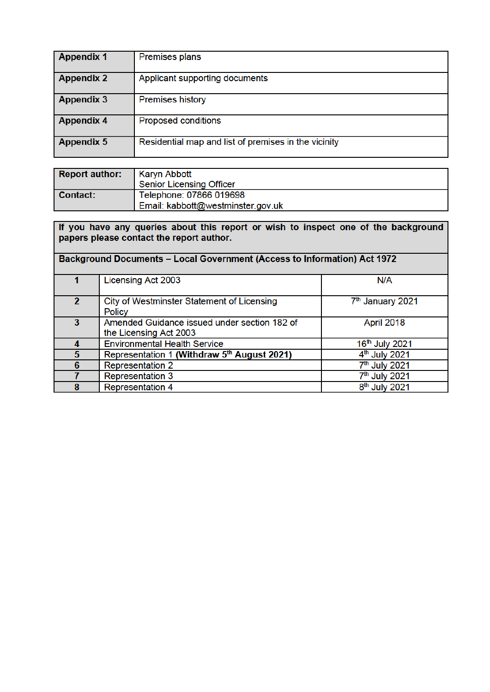| <b>Appendix 1</b> | <b>Premises plans</b>                                |
|-------------------|------------------------------------------------------|
| <b>Appendix 2</b> | Applicant supporting documents                       |
| <b>Appendix 3</b> | <b>Premises history</b>                              |
| <b>Appendix 4</b> | <b>Proposed conditions</b>                           |
| <b>Appendix 5</b> | Residential map and list of premises in the vicinity |

| <b>Report author:</b> | Karyn Abbott<br><b>Senior Licensing Officer</b>              |
|-----------------------|--------------------------------------------------------------|
| Contact:              | Telephone: 07866 019698<br>Email: kabbott@westminster.gov.uk |

| If you have any queries about this report or wish to inspect one of the background<br>papers please contact the report author. |                                                                        |                              |  |  |  |  |
|--------------------------------------------------------------------------------------------------------------------------------|------------------------------------------------------------------------|------------------------------|--|--|--|--|
| <b>Background Documents - Local Government (Access to Information) Act 1972</b>                                                |                                                                        |                              |  |  |  |  |
|                                                                                                                                | Licensing Act 2003                                                     | N/A                          |  |  |  |  |
| $\overline{2}$                                                                                                                 | City of Westminster Statement of Licensing<br><b>Policy</b>            | 7 <sup>th</sup> January 2021 |  |  |  |  |
| 3                                                                                                                              | Amended Guidance issued under section 182 of<br>the Licensing Act 2003 | April 2018                   |  |  |  |  |
| 4                                                                                                                              | <b>Environmental Health Service</b>                                    | 16th July 2021               |  |  |  |  |
| 5                                                                                                                              | Representation 1 (Withdraw 5 <sup>th</sup> August 2021)                | 4 <sup>th</sup> July 2021    |  |  |  |  |
| 6                                                                                                                              | <b>Representation 2</b>                                                | 7 <sup>th</sup> July 2021    |  |  |  |  |
|                                                                                                                                | Representation 3                                                       | 7 <sup>th</sup> July 2021    |  |  |  |  |
| 8                                                                                                                              | <b>Representation 4</b>                                                | 8 <sup>th</sup> July 2021    |  |  |  |  |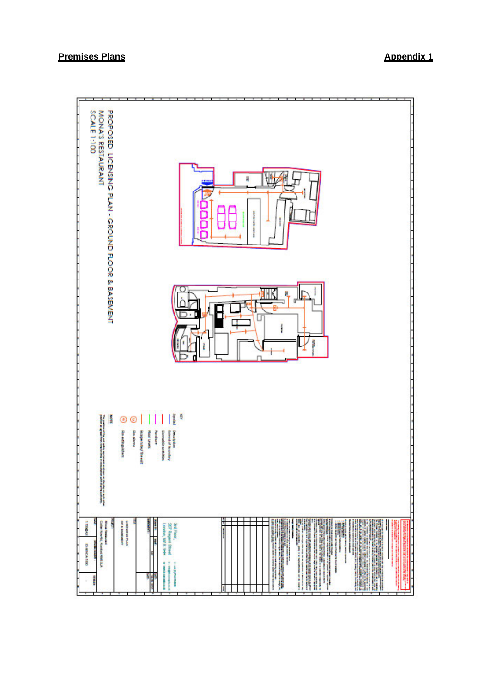#### **Premises Plans Appendix 1**

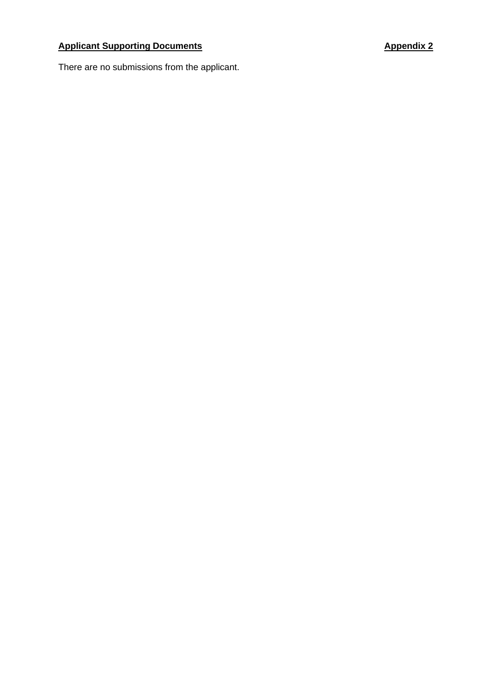## **Applicant Supporting Documents Applicant Supporting Documents Appendix 2**

There are no submissions from the applicant.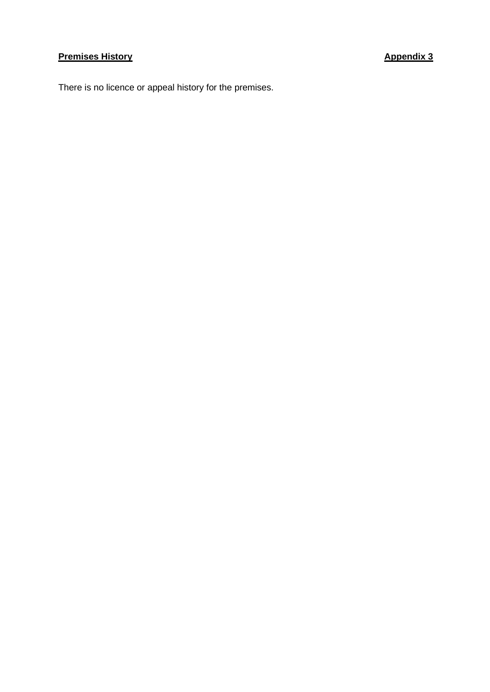## **Premises History Appendix 3**

There is no licence or appeal history for the premises.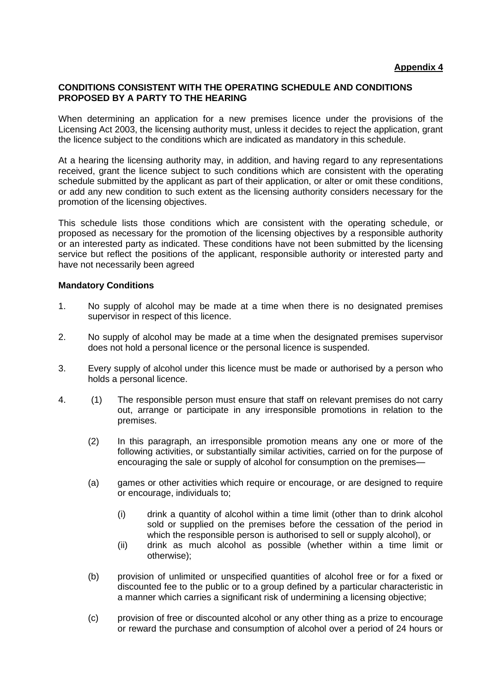#### **CONDITIONS CONSISTENT WITH THE OPERATING SCHEDULE AND CONDITIONS PROPOSED BY A PARTY TO THE HEARING**

When determining an application for a new premises licence under the provisions of the Licensing Act 2003, the licensing authority must, unless it decides to reject the application, grant the licence subject to the conditions which are indicated as mandatory in this schedule.

At a hearing the licensing authority may, in addition, and having regard to any representations received, grant the licence subject to such conditions which are consistent with the operating schedule submitted by the applicant as part of their application, or alter or omit these conditions, or add any new condition to such extent as the licensing authority considers necessary for the promotion of the licensing objectives.

This schedule lists those conditions which are consistent with the operating schedule, or proposed as necessary for the promotion of the licensing objectives by a responsible authority or an interested party as indicated. These conditions have not been submitted by the licensing service but reflect the positions of the applicant, responsible authority or interested party and have not necessarily been agreed

#### **Mandatory Conditions**

- 1. No supply of alcohol may be made at a time when there is no designated premises supervisor in respect of this licence.
- 2. No supply of alcohol may be made at a time when the designated premises supervisor does not hold a personal licence or the personal licence is suspended.
- 3. Every supply of alcohol under this licence must be made or authorised by a person who holds a personal licence.
- 4. (1) The responsible person must ensure that staff on relevant premises do not carry out, arrange or participate in any irresponsible promotions in relation to the premises.
	- (2) In this paragraph, an irresponsible promotion means any one or more of the following activities, or substantially similar activities, carried on for the purpose of encouraging the sale or supply of alcohol for consumption on the premises—
	- (a) games or other activities which require or encourage, or are designed to require or encourage, individuals to;
		- (i) drink a quantity of alcohol within a time limit (other than to drink alcohol sold or supplied on the premises before the cessation of the period in which the responsible person is authorised to sell or supply alcohol), or
		- (ii) drink as much alcohol as possible (whether within a time limit or otherwise);
	- (b) provision of unlimited or unspecified quantities of alcohol free or for a fixed or discounted fee to the public or to a group defined by a particular characteristic in a manner which carries a significant risk of undermining a licensing objective;
	- (c) provision of free or discounted alcohol or any other thing as a prize to encourage or reward the purchase and consumption of alcohol over a period of 24 hours or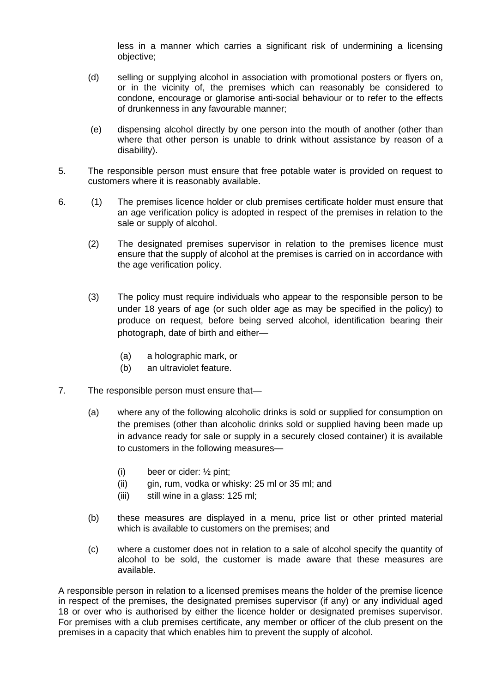less in a manner which carries a significant risk of undermining a licensing objective;

- (d) selling or supplying alcohol in association with promotional posters or flyers on, or in the vicinity of, the premises which can reasonably be considered to condone, encourage or glamorise anti-social behaviour or to refer to the effects of drunkenness in any favourable manner;
- (e) dispensing alcohol directly by one person into the mouth of another (other than where that other person is unable to drink without assistance by reason of a disability).
- 5. The responsible person must ensure that free potable water is provided on request to customers where it is reasonably available.
- 6. (1) The premises licence holder or club premises certificate holder must ensure that an age verification policy is adopted in respect of the premises in relation to the sale or supply of alcohol.
	- (2) The designated premises supervisor in relation to the premises licence must ensure that the supply of alcohol at the premises is carried on in accordance with the age verification policy.
	- (3) The policy must require individuals who appear to the responsible person to be under 18 years of age (or such older age as may be specified in the policy) to produce on request, before being served alcohol, identification bearing their photograph, date of birth and either—
		- (a) a holographic mark, or
		- (b) an ultraviolet feature.
- 7. The responsible person must ensure that—
	- (a) where any of the following alcoholic drinks is sold or supplied for consumption on the premises (other than alcoholic drinks sold or supplied having been made up in advance ready for sale or supply in a securely closed container) it is available to customers in the following measures—
		- (i) beer or cider: ½ pint;
		- (ii) gin, rum, vodka or whisky: 25 ml or 35 ml; and
		- (iii) still wine in a glass: 125 ml;
	- (b) these measures are displayed in a menu, price list or other printed material which is available to customers on the premises; and
	- (c) where a customer does not in relation to a sale of alcohol specify the quantity of alcohol to be sold, the customer is made aware that these measures are available.

A responsible person in relation to a licensed premises means the holder of the premise licence in respect of the premises, the designated premises supervisor (if any) or any individual aged 18 or over who is authorised by either the licence holder or designated premises supervisor. For premises with a club premises certificate, any member or officer of the club present on the premises in a capacity that which enables him to prevent the supply of alcohol.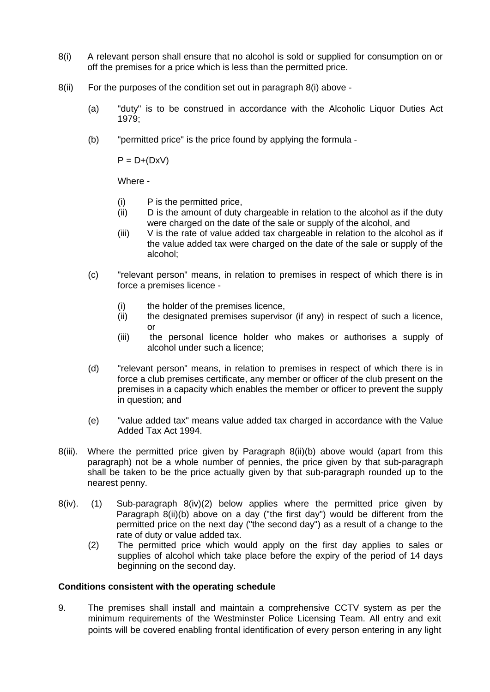- 8(i) A relevant person shall ensure that no alcohol is sold or supplied for consumption on or off the premises for a price which is less than the permitted price.
- 8(ii) For the purposes of the condition set out in paragraph 8(i) above
	- (a) "duty" is to be construed in accordance with the Alcoholic Liquor Duties Act 1979;
	- (b) "permitted price" is the price found by applying the formula -

 $P = D+(DxV)$ 

Where -

- (i) P is the permitted price,
- (ii) D is the amount of duty chargeable in relation to the alcohol as if the duty were charged on the date of the sale or supply of the alcohol, and
- (iii) V is the rate of value added tax chargeable in relation to the alcohol as if the value added tax were charged on the date of the sale or supply of the alcohol;
- (c) "relevant person" means, in relation to premises in respect of which there is in force a premises licence -
	- (i) the holder of the premises licence,
	- (ii) the designated premises supervisor (if any) in respect of such a licence, or
	- (iii) the personal licence holder who makes or authorises a supply of alcohol under such a licence;
- (d) "relevant person" means, in relation to premises in respect of which there is in force a club premises certificate, any member or officer of the club present on the premises in a capacity which enables the member or officer to prevent the supply in question; and
- (e) "value added tax" means value added tax charged in accordance with the Value Added Tax Act 1994.
- 8(iii). Where the permitted price given by Paragraph 8(ii)(b) above would (apart from this paragraph) not be a whole number of pennies, the price given by that sub-paragraph shall be taken to be the price actually given by that sub-paragraph rounded up to the nearest penny.
- 8(iv). (1) Sub-paragraph 8(iv)(2) below applies where the permitted price given by Paragraph 8(ii)(b) above on a day ("the first day") would be different from the permitted price on the next day ("the second day") as a result of a change to the rate of duty or value added tax.
	- (2) The permitted price which would apply on the first day applies to sales or supplies of alcohol which take place before the expiry of the period of 14 days beginning on the second day.

#### **Conditions consistent with the operating schedule**

9. The premises shall install and maintain a comprehensive CCTV system as per the minimum requirements of the Westminster Police Licensing Team. All entry and exit points will be covered enabling frontal identification of every person entering in any light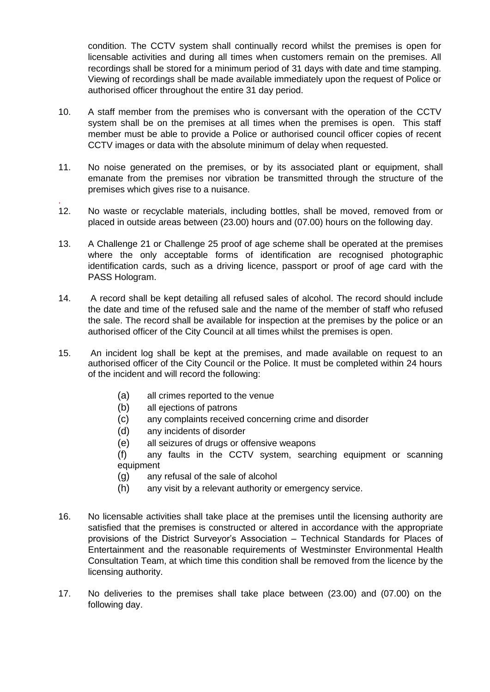condition. The CCTV system shall continually record whilst the premises is open for licensable activities and during all times when customers remain on the premises. All recordings shall be stored for a minimum period of 31 days with date and time stamping. Viewing of recordings shall be made available immediately upon the request of Police or authorised officer throughout the entire 31 day period.

- 10. A staff member from the premises who is conversant with the operation of the CCTV system shall be on the premises at all times when the premises is open. This staff member must be able to provide a Police or authorised council officer copies of recent CCTV images or data with the absolute minimum of delay when requested.
- 11. No noise generated on the premises, or by its associated plant or equipment, shall emanate from the premises nor vibration be transmitted through the structure of the premises which gives rise to a nuisance.
- . 12. No waste or recyclable materials, including bottles, shall be moved, removed from or placed in outside areas between (23.00) hours and (07.00) hours on the following day.
- 13. A Challenge 21 or Challenge 25 proof of age scheme shall be operated at the premises where the only acceptable forms of identification are recognised photographic identification cards, such as a driving licence, passport or proof of age card with the PASS Hologram.
- 14. A record shall be kept detailing all refused sales of alcohol. The record should include the date and time of the refused sale and the name of the member of staff who refused the sale. The record shall be available for inspection at the premises by the police or an authorised officer of the City Council at all times whilst the premises is open.
- 15. An incident log shall be kept at the premises, and made available on request to an authorised officer of the City Council or the Police. It must be completed within 24 hours of the incident and will record the following:
	- (a) all crimes reported to the venue
	- (b) all ejections of patrons
	- (c) any complaints received concerning crime and disorder
	- (d) any incidents of disorder
	- (e) all seizures of drugs or offensive weapons
	- (f) any faults in the CCTV system, searching equipment or scanning equipment
	- (g) any refusal of the sale of alcohol
	- (h) any visit by a relevant authority or emergency service.
- 16. No licensable activities shall take place at the premises until the licensing authority are satisfied that the premises is constructed or altered in accordance with the appropriate provisions of the District Surveyor's Association – Technical Standards for Places of Entertainment and the reasonable requirements of Westminster Environmental Health Consultation Team, at which time this condition shall be removed from the licence by the licensing authority.
- 17. No deliveries to the premises shall take place between (23.00) and (07.00) on the following day.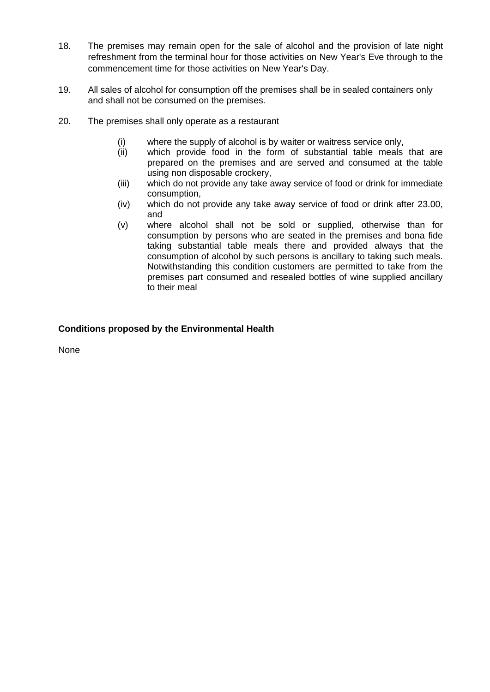- 18. The premises may remain open for the sale of alcohol and the provision of late night refreshment from the terminal hour for those activities on New Year's Eve through to the commencement time for those activities on New Year's Day.
- 19. All sales of alcohol for consumption off the premises shall be in sealed containers only and shall not be consumed on the premises.
- 20. The premises shall only operate as a restaurant
	- (i) where the supply of alcohol is by waiter or waitress service only,
	- (ii) which provide food in the form of substantial table meals that are prepared on the premises and are served and consumed at the table using non disposable crockery,
	- (iii) which do not provide any take away service of food or drink for immediate consumption,
	- (iv) which do not provide any take away service of food or drink after 23.00, and
	- (v) where alcohol shall not be sold or supplied, otherwise than for consumption by persons who are seated in the premises and bona fide taking substantial table meals there and provided always that the consumption of alcohol by such persons is ancillary to taking such meals. Notwithstanding this condition customers are permitted to take from the premises part consumed and resealed bottles of wine supplied ancillary to their meal

#### **Conditions proposed by the Environmental Health**

None